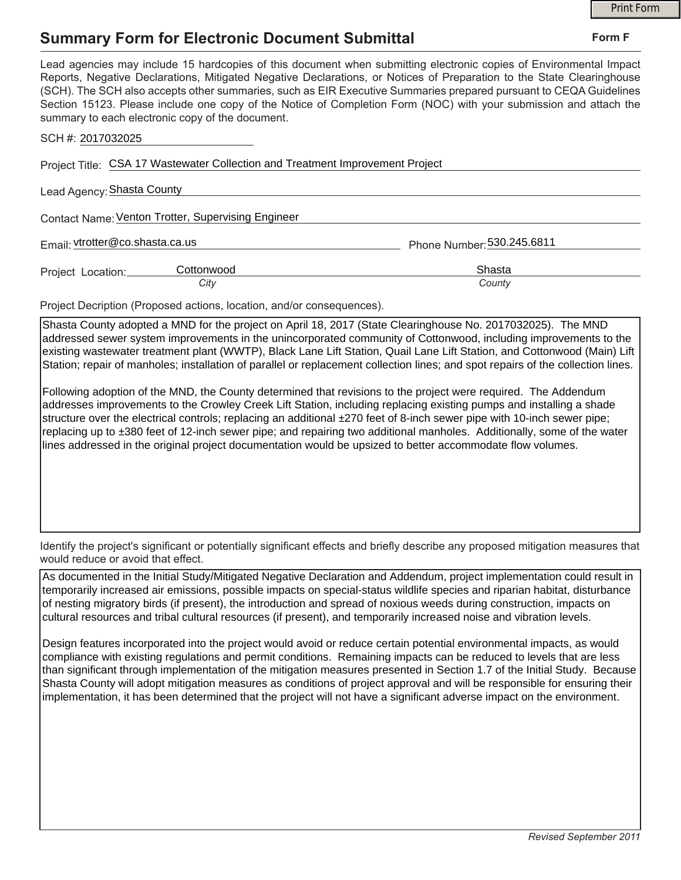## **Summary Form for Electronic Document Submittal**

|                                                                                                                                                                                                                                                                                                                                                                                                                                                                                                                                           | <b>Print Form</b>          |
|-------------------------------------------------------------------------------------------------------------------------------------------------------------------------------------------------------------------------------------------------------------------------------------------------------------------------------------------------------------------------------------------------------------------------------------------------------------------------------------------------------------------------------------------|----------------------------|
| <b>Summary Form for Electronic Document Submittal</b>                                                                                                                                                                                                                                                                                                                                                                                                                                                                                     | Form F                     |
| Lead agencies may include 15 hardcopies of this document when submitting electronic copies of Environmental Impact<br>Reports, Negative Declarations, Mitigated Negative Declarations, or Notices of Preparation to the State Clearinghouse<br>(SCH). The SCH also accepts other summaries, such as EIR Executive Summaries prepared pursuant to CEQA Guidelines<br>Section 15123. Please include one copy of the Notice of Completion Form (NOC) with your submission and attach the<br>summary to each electronic copy of the document. |                            |
| SCH #: 2017032025                                                                                                                                                                                                                                                                                                                                                                                                                                                                                                                         |                            |
| Project Title: CSA 17 Wastewater Collection and Treatment Improvement Project                                                                                                                                                                                                                                                                                                                                                                                                                                                             |                            |
| Lead Agency: Shasta County                                                                                                                                                                                                                                                                                                                                                                                                                                                                                                                |                            |
| Contact Name: Venton Trotter, Supervising Engineer                                                                                                                                                                                                                                                                                                                                                                                                                                                                                        |                            |
| Email: vtrotter@co.shasta.ca.us                                                                                                                                                                                                                                                                                                                                                                                                                                                                                                           | Phone Number: 530.245.6811 |
| Cottonwood<br>Project Location:                                                                                                                                                                                                                                                                                                                                                                                                                                                                                                           | Shasta                     |
| City                                                                                                                                                                                                                                                                                                                                                                                                                                                                                                                                      | County                     |
| Project Decription (Proposed actions, location, and/or consequences).                                                                                                                                                                                                                                                                                                                                                                                                                                                                     |                            |
| Shasta County adopted a MND for the project on April 18, 2017 (State Clearinghouse No. 2017032025). The MND<br>addressed sewer system improvements in the unincorporated community of Cottonwood, including improvements to the<br>existing wastewater treatment plant (WWTP), Black Lane Lift Station, Quail Lane Lift Station, and Cottonwood (Main) Lift<br>Station; repair of manholes; installation of parallel or replacement collection lines; and spot repairs of the collection lines.                                           |                            |

Following adoption of the MND, the County determined that revisions to the project were required. The Addendum addresses improvements to the Crowley Creek Lift Station, including replacing existing pumps and installing a shade structure over the electrical controls; replacing an additional ±270 feet of 8-inch sewer pipe with 10-inch sewer pipe; replacing up to ±380 feet of 12-inch sewer pipe; and repairing two additional manholes. Additionally, some of the water lines addressed in the original project documentation would be upsized to better accommodate flow volumes.

Identify the project's significant or potentially significant effects and briefly describe any proposed mitigation measures that would reduce or avoid that effect.

As documented in the Initial Study/Mitigated Negative Declaration and Addendum, project implementation could result in temporarily increased air emissions, possible impacts on special-status wildlife species and riparian habitat, disturbance of nesting migratory birds (if present), the introduction and spread of noxious weeds during construction, impacts on cultural resources and tribal cultural resources (if present), and temporarily increased noise and vibration levels.

Design features incorporated into the project would avoid or reduce certain potential environmental impacts, as would compliance with existing regulations and permit conditions. Remaining impacts can be reduced to levels that are less than significant through implementation of the mitigation measures presented in Section 1.7 of the Initial Study. Because Shasta County will adopt mitigation measures as conditions of project approval and will be responsible for ensuring their implementation, it has been determined that the project will not have a significant adverse impact on the environment.